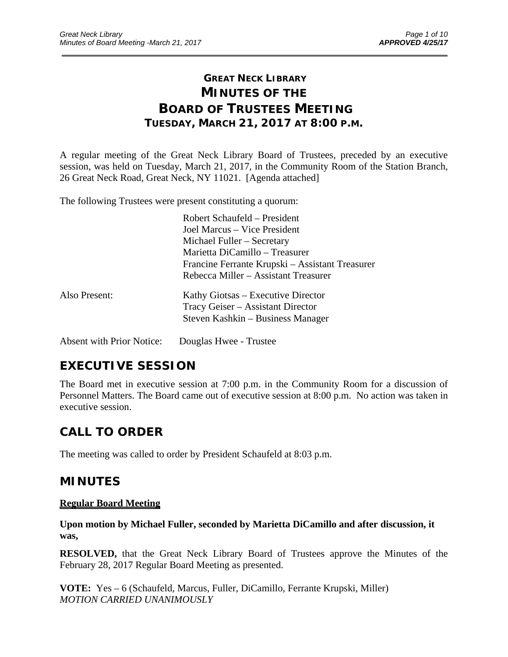# **GREAT NECK LIBRARY MINUTES OF THE BOARD OF TRUSTEES MEETING TUESDAY, MARCH 21, 2017 AT 8:00 P.M.**

\_\_\_\_\_\_\_\_\_\_\_\_\_\_\_\_\_\_\_\_\_\_\_\_\_\_\_\_\_\_\_\_\_\_\_\_\_\_\_\_\_\_\_\_\_\_\_\_\_\_\_\_\_\_\_\_\_\_\_\_\_\_\_\_\_\_\_\_\_\_\_\_\_\_\_\_\_\_\_\_\_\_\_\_\_\_\_\_\_\_\_\_\_

A regular meeting of the Great Neck Library Board of Trustees, preceded by an executive session, was held on Tuesday, March 21, 2017, in the Community Room of the Station Branch, 26 Great Neck Road, Great Neck, NY 11021. [Agenda attached]

The following Trustees were present constituting a quorum:

|               | Robert Schaufeld – President                    |
|---------------|-------------------------------------------------|
|               | Joel Marcus – Vice President                    |
|               | Michael Fuller – Secretary                      |
|               | Marietta DiCamillo - Treasurer                  |
|               | Francine Ferrante Krupski – Assistant Treasurer |
|               | Rebecca Miller – Assistant Treasurer            |
| Also Present: | Kathy Giotsas – Executive Director              |
|               | Tracy Geiser – Assistant Director               |
|               | Steven Kashkin – Business Manager               |
|               |                                                 |

Absent with Prior Notice: Douglas Hwee - Trustee

# **EXECUTIVE SESSION**

The Board met in executive session at 7:00 p.m. in the Community Room for a discussion of Personnel Matters. The Board came out of executive session at 8:00 p.m. No action was taken in executive session.

# **CALL TO ORDER**

The meeting was called to order by President Schaufeld at 8:03 p.m.

## **MINUTES**

## **Regular Board Meeting**

**Upon motion by Michael Fuller, seconded by Marietta DiCamillo and after discussion, it was,** 

**RESOLVED,** that the Great Neck Library Board of Trustees approve the Minutes of the February 28, 2017 Regular Board Meeting as presented.

**VOTE:** Yes – 6 (Schaufeld, Marcus, Fuller, DiCamillo, Ferrante Krupski, Miller) *MOTION CARRIED UNANIMOUSLY*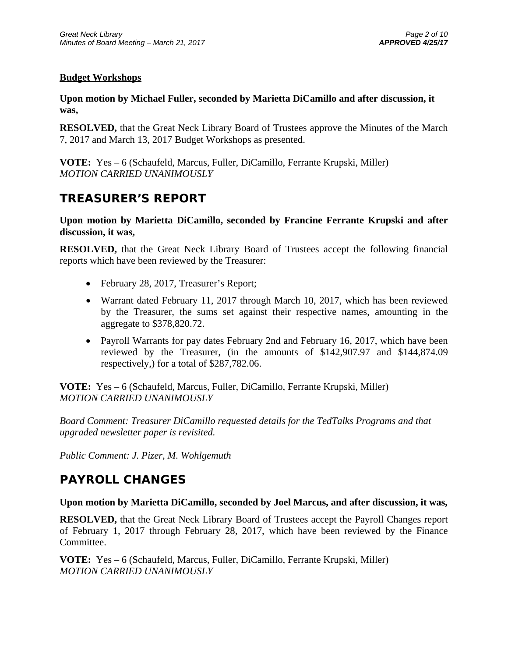## **Budget Workshops**

**Upon motion by Michael Fuller, seconded by Marietta DiCamillo and after discussion, it was,** 

**RESOLVED,** that the Great Neck Library Board of Trustees approve the Minutes of the March 7, 2017 and March 13, 2017 Budget Workshops as presented.

**VOTE:** Yes – 6 (Schaufeld, Marcus, Fuller, DiCamillo, Ferrante Krupski, Miller) *MOTION CARRIED UNANIMOUSLY* 

## **TREASURER'S REPORT**

**Upon motion by Marietta DiCamillo, seconded by Francine Ferrante Krupski and after discussion, it was,** 

**RESOLVED,** that the Great Neck Library Board of Trustees accept the following financial reports which have been reviewed by the Treasurer:

- February 28, 2017, Treasurer's Report;
- Warrant dated February 11, 2017 through March 10, 2017, which has been reviewed by the Treasurer, the sums set against their respective names, amounting in the aggregate to \$378,820.72.
- Payroll Warrants for pay dates February 2nd and February 16, 2017, which have been reviewed by the Treasurer, (in the amounts of \$142,907.97 and \$144,874.09 respectively,) for a total of \$287,782.06.

**VOTE:** Yes – 6 (Schaufeld, Marcus, Fuller, DiCamillo, Ferrante Krupski, Miller) *MOTION CARRIED UNANIMOUSLY* 

*Board Comment: Treasurer DiCamillo requested details for the TedTalks Programs and that upgraded newsletter paper is revisited.* 

*Public Comment: J. Pizer, M. Wohlgemuth* 

# **PAYROLL CHANGES**

## **Upon motion by Marietta DiCamillo, seconded by Joel Marcus, and after discussion, it was,**

**RESOLVED,** that the Great Neck Library Board of Trustees accept the Payroll Changes report of February 1, 2017 through February 28, 2017, which have been reviewed by the Finance Committee.

**VOTE:** Yes – 6 (Schaufeld, Marcus, Fuller, DiCamillo, Ferrante Krupski, Miller) *MOTION CARRIED UNANIMOUSLY*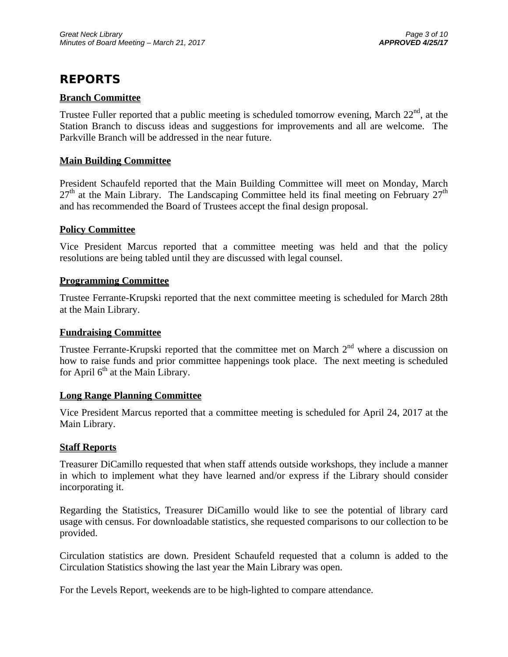# **REPORTS**

## **Branch Committee**

Trustee Fuller reported that a public meeting is scheduled tomorrow evening, March  $22<sup>nd</sup>$ , at the Station Branch to discuss ideas and suggestions for improvements and all are welcome. The Parkville Branch will be addressed in the near future.

## **Main Building Committee**

President Schaufeld reported that the Main Building Committee will meet on Monday, March  $27<sup>th</sup>$  at the Main Library. The Landscaping Committee held its final meeting on February  $27<sup>th</sup>$ and has recommended the Board of Trustees accept the final design proposal.

## **Policy Committee**

Vice President Marcus reported that a committee meeting was held and that the policy resolutions are being tabled until they are discussed with legal counsel.

## **Programming Committee**

Trustee Ferrante-Krupski reported that the next committee meeting is scheduled for March 28th at the Main Library.

## **Fundraising Committee**

Trustee Ferrante-Krupski reported that the committee met on March  $2<sup>nd</sup>$  where a discussion on how to raise funds and prior committee happenings took place. The next meeting is scheduled for April  $6<sup>th</sup>$  at the Main Library.

## **Long Range Planning Committee**

Vice President Marcus reported that a committee meeting is scheduled for April 24, 2017 at the Main Library.

## **Staff Reports**

Treasurer DiCamillo requested that when staff attends outside workshops, they include a manner in which to implement what they have learned and/or express if the Library should consider incorporating it.

Regarding the Statistics, Treasurer DiCamillo would like to see the potential of library card usage with census. For downloadable statistics, she requested comparisons to our collection to be provided.

Circulation statistics are down. President Schaufeld requested that a column is added to the Circulation Statistics showing the last year the Main Library was open.

For the Levels Report, weekends are to be high-lighted to compare attendance.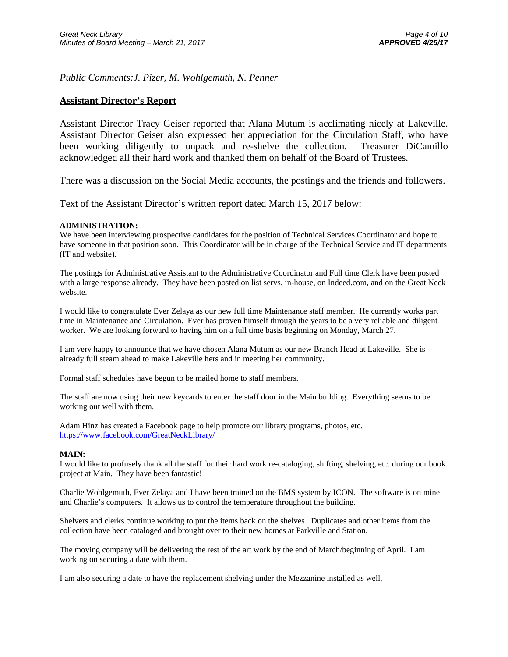*Public Comments:J. Pizer, M. Wohlgemuth, N. Penner* 

### **Assistant Director's Report**

Assistant Director Tracy Geiser reported that Alana Mutum is acclimating nicely at Lakeville. Assistant Director Geiser also expressed her appreciation for the Circulation Staff, who have been working diligently to unpack and re-shelve the collection. Treasurer DiCamillo acknowledged all their hard work and thanked them on behalf of the Board of Trustees.

There was a discussion on the Social Media accounts, the postings and the friends and followers.

Text of the Assistant Director's written report dated March 15, 2017 below:

#### **ADMINISTRATION:**

We have been interviewing prospective candidates for the position of Technical Services Coordinator and hope to have someone in that position soon. This Coordinator will be in charge of the Technical Service and IT departments (IT and website).

The postings for Administrative Assistant to the Administrative Coordinator and Full time Clerk have been posted with a large response already. They have been posted on list servs, in-house, on Indeed.com, and on the Great Neck website.

I would like to congratulate Ever Zelaya as our new full time Maintenance staff member. He currently works part time in Maintenance and Circulation. Ever has proven himself through the years to be a very reliable and diligent worker. We are looking forward to having him on a full time basis beginning on Monday, March 27.

I am very happy to announce that we have chosen Alana Mutum as our new Branch Head at Lakeville. She is already full steam ahead to make Lakeville hers and in meeting her community.

Formal staff schedules have begun to be mailed home to staff members.

The staff are now using their new keycards to enter the staff door in the Main building. Everything seems to be working out well with them.

Adam Hinz has created a Facebook page to help promote our library programs, photos, etc. https://www.facebook.com/GreatNeckLibrary/

#### **MAIN:**

I would like to profusely thank all the staff for their hard work re-cataloging, shifting, shelving, etc. during our book project at Main. They have been fantastic!

Charlie Wohlgemuth, Ever Zelaya and I have been trained on the BMS system by ICON. The software is on mine and Charlie's computers. It allows us to control the temperature throughout the building.

Shelvers and clerks continue working to put the items back on the shelves. Duplicates and other items from the collection have been cataloged and brought over to their new homes at Parkville and Station.

The moving company will be delivering the rest of the art work by the end of March/beginning of April. I am working on securing a date with them.

I am also securing a date to have the replacement shelving under the Mezzanine installed as well.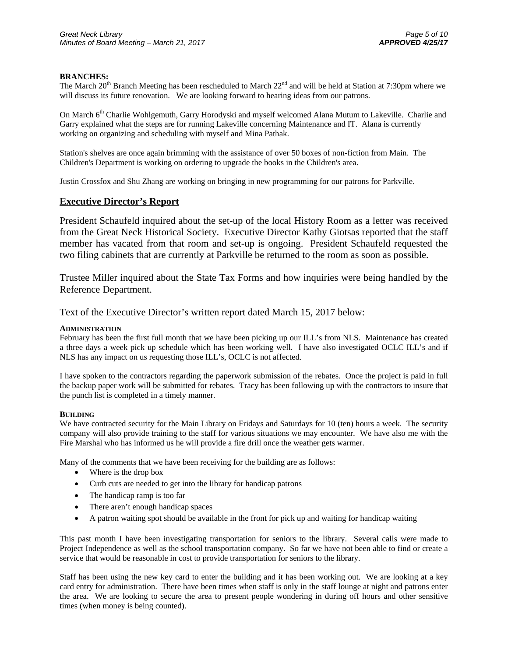#### **BRANCHES:**

The March  $20^{th}$  Branch Meeting has been rescheduled to March  $22^{nd}$  and will be held at Station at 7:30pm where we will discuss its future renovation. We are looking forward to hearing ideas from our patrons.

On March 6<sup>th</sup> Charlie Wohlgemuth, Garry Horodyski and myself welcomed Alana Mutum to Lakeville. Charlie and Garry explained what the steps are for running Lakeville concerning Maintenance and IT. Alana is currently working on organizing and scheduling with myself and Mina Pathak.

Station's shelves are once again brimming with the assistance of over 50 boxes of non-fiction from Main. The Children's Department is working on ordering to upgrade the books in the Children's area.

Justin Crossfox and Shu Zhang are working on bringing in new programming for our patrons for Parkville.

#### **Executive Director's Report**

President Schaufeld inquired about the set-up of the local History Room as a letter was received from the Great Neck Historical Society. Executive Director Kathy Giotsas reported that the staff member has vacated from that room and set-up is ongoing. President Schaufeld requested the two filing cabinets that are currently at Parkville be returned to the room as soon as possible.

Trustee Miller inquired about the State Tax Forms and how inquiries were being handled by the Reference Department.

Text of the Executive Director's written report dated March 15, 2017 below:

#### **ADMINISTRATION**

February has been the first full month that we have been picking up our ILL's from NLS. Maintenance has created a three days a week pick up schedule which has been working well. I have also investigated OCLC ILL's and if NLS has any impact on us requesting those ILL's, OCLC is not affected.

I have spoken to the contractors regarding the paperwork submission of the rebates. Once the project is paid in full the backup paper work will be submitted for rebates. Tracy has been following up with the contractors to insure that the punch list is completed in a timely manner.

#### **BUILDING**

We have contracted security for the Main Library on Fridays and Saturdays for 10 (ten) hours a week. The security company will also provide training to the staff for various situations we may encounter. We have also me with the Fire Marshal who has informed us he will provide a fire drill once the weather gets warmer.

Many of the comments that we have been receiving for the building are as follows:

- Where is the drop box
- Curb cuts are needed to get into the library for handicap patrons
- The handicap ramp is too far
- There aren't enough handicap spaces
- A patron waiting spot should be available in the front for pick up and waiting for handicap waiting

This past month I have been investigating transportation for seniors to the library. Several calls were made to Project Independence as well as the school transportation company. So far we have not been able to find or create a service that would be reasonable in cost to provide transportation for seniors to the library.

Staff has been using the new key card to enter the building and it has been working out. We are looking at a key card entry for administration. There have been times when staff is only in the staff lounge at night and patrons enter the area. We are looking to secure the area to present people wondering in during off hours and other sensitive times (when money is being counted).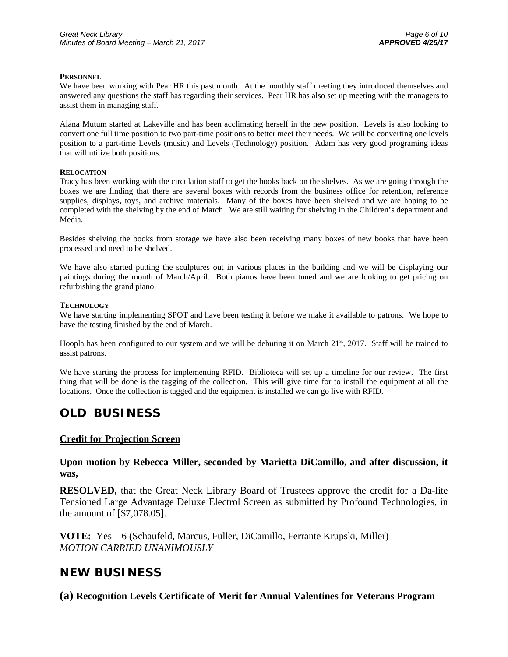#### **PERSONNEL**

We have been working with Pear HR this past month. At the monthly staff meeting they introduced themselves and answered any questions the staff has regarding their services. Pear HR has also set up meeting with the managers to assist them in managing staff.

Alana Mutum started at Lakeville and has been acclimating herself in the new position. Levels is also looking to convert one full time position to two part-time positions to better meet their needs. We will be converting one levels position to a part-time Levels (music) and Levels (Technology) position. Adam has very good programing ideas that will utilize both positions.

#### **RELOCATION**

Tracy has been working with the circulation staff to get the books back on the shelves. As we are going through the boxes we are finding that there are several boxes with records from the business office for retention, reference supplies, displays, toys, and archive materials. Many of the boxes have been shelved and we are hoping to be completed with the shelving by the end of March. We are still waiting for shelving in the Children's department and Media.

Besides shelving the books from storage we have also been receiving many boxes of new books that have been processed and need to be shelved.

We have also started putting the sculptures out in various places in the building and we will be displaying our paintings during the month of March/April. Both pianos have been tuned and we are looking to get pricing on refurbishing the grand piano.

#### **TECHNOLOGY**

We have starting implementing SPOT and have been testing it before we make it available to patrons. We hope to have the testing finished by the end of March.

Hoopla has been configured to our system and we will be debuting it on March  $21<sup>st</sup>$ ,  $2017$ . Staff will be trained to assist patrons.

We have starting the process for implementing RFID. Biblioteca will set up a timeline for our review. The first thing that will be done is the tagging of the collection. This will give time for to install the equipment at all the locations. Once the collection is tagged and the equipment is installed we can go live with RFID.

## **OLD BUSINESS**

### **Credit for Projection Screen**

**Upon motion by Rebecca Miller, seconded by Marietta DiCamillo, and after discussion, it was,** 

**RESOLVED,** that the Great Neck Library Board of Trustees approve the credit for a Da-lite Tensioned Large Advantage Deluxe Electrol Screen as submitted by Profound Technologies, in the amount of [\$7,078.05].

**VOTE:** Yes – 6 (Schaufeld, Marcus, Fuller, DiCamillo, Ferrante Krupski, Miller) *MOTION CARRIED UNANIMOUSLY* 

## **NEW BUSINESS**

**(a) Recognition Levels Certificate of Merit for Annual Valentines for Veterans Program**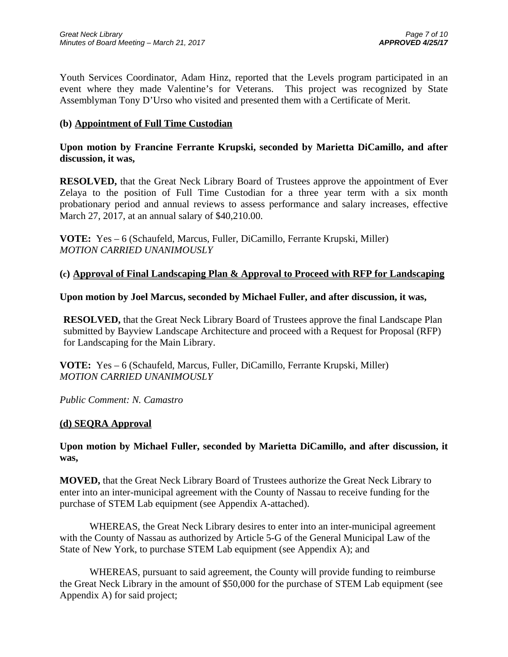Youth Services Coordinator, Adam Hinz, reported that the Levels program participated in an event where they made Valentine's for Veterans. This project was recognized by State Assemblyman Tony D'Urso who visited and presented them with a Certificate of Merit.

## **(b) Appointment of Full Time Custodian**

**Upon motion by Francine Ferrante Krupski, seconded by Marietta DiCamillo, and after discussion, it was,** 

**RESOLVED,** that the Great Neck Library Board of Trustees approve the appointment of Ever Zelaya to the position of Full Time Custodian for a three year term with a six month probationary period and annual reviews to assess performance and salary increases, effective March 27, 2017, at an annual salary of \$40,210.00.

**VOTE:** Yes – 6 (Schaufeld, Marcus, Fuller, DiCamillo, Ferrante Krupski, Miller) *MOTION CARRIED UNANIMOUSLY* 

### **(c) Approval of Final Landscaping Plan & Approval to Proceed with RFP for Landscaping**

### **Upon motion by Joel Marcus, seconded by Michael Fuller, and after discussion, it was,**

**RESOLVED,** that the Great Neck Library Board of Trustees approve the final Landscape Plan submitted by Bayview Landscape Architecture and proceed with a Request for Proposal (RFP) for Landscaping for the Main Library.

**VOTE:** Yes – 6 (Schaufeld, Marcus, Fuller, DiCamillo, Ferrante Krupski, Miller) *MOTION CARRIED UNANIMOUSLY* 

*Public Comment: N. Camastro* 

## **(d) SEQRA Approval**

## **Upon motion by Michael Fuller, seconded by Marietta DiCamillo, and after discussion, it was,**

**MOVED,** that the Great Neck Library Board of Trustees authorize the Great Neck Library to enter into an inter-municipal agreement with the County of Nassau to receive funding for the purchase of STEM Lab equipment (see Appendix A-attached).

 WHEREAS, the Great Neck Library desires to enter into an inter-municipal agreement with the County of Nassau as authorized by Article 5-G of the General Municipal Law of the State of New York, to purchase STEM Lab equipment (see Appendix A); and

 WHEREAS, pursuant to said agreement, the County will provide funding to reimburse the Great Neck Library in the amount of \$50,000 for the purchase of STEM Lab equipment (see Appendix A) for said project;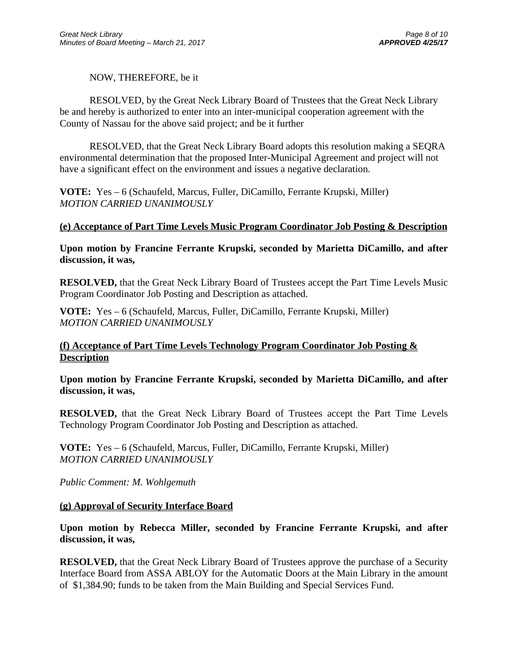## NOW, THEREFORE, be it

 RESOLVED, by the Great Neck Library Board of Trustees that the Great Neck Library be and hereby is authorized to enter into an inter-municipal cooperation agreement with the County of Nassau for the above said project; and be it further

 RESOLVED, that the Great Neck Library Board adopts this resolution making a SEQRA environmental determination that the proposed Inter-Municipal Agreement and project will not have a significant effect on the environment and issues a negative declaration.

**VOTE:** Yes – 6 (Schaufeld, Marcus, Fuller, DiCamillo, Ferrante Krupski, Miller) *MOTION CARRIED UNANIMOUSLY* 

## **(e) Acceptance of Part Time Levels Music Program Coordinator Job Posting & Description**

**Upon motion by Francine Ferrante Krupski, seconded by Marietta DiCamillo, and after discussion, it was,** 

**RESOLVED,** that the Great Neck Library Board of Trustees accept the Part Time Levels Music Program Coordinator Job Posting and Description as attached.

**VOTE:** Yes – 6 (Schaufeld, Marcus, Fuller, DiCamillo, Ferrante Krupski, Miller) *MOTION CARRIED UNANIMOUSLY* 

## **(f) Acceptance of Part Time Levels Technology Program Coordinator Job Posting & Description**

**Upon motion by Francine Ferrante Krupski, seconded by Marietta DiCamillo, and after discussion, it was,** 

**RESOLVED,** that the Great Neck Library Board of Trustees accept the Part Time Levels Technology Program Coordinator Job Posting and Description as attached.

**VOTE:** Yes – 6 (Schaufeld, Marcus, Fuller, DiCamillo, Ferrante Krupski, Miller) *MOTION CARRIED UNANIMOUSLY* 

*Public Comment: M. Wohlgemuth* 

## **(g) Approval of Security Interface Board**

## **Upon motion by Rebecca Miller, seconded by Francine Ferrante Krupski, and after discussion, it was,**

**RESOLVED,** that the Great Neck Library Board of Trustees approve the purchase of a Security Interface Board from ASSA ABLOY for the Automatic Doors at the Main Library in the amount of \$1,384.90; funds to be taken from the Main Building and Special Services Fund.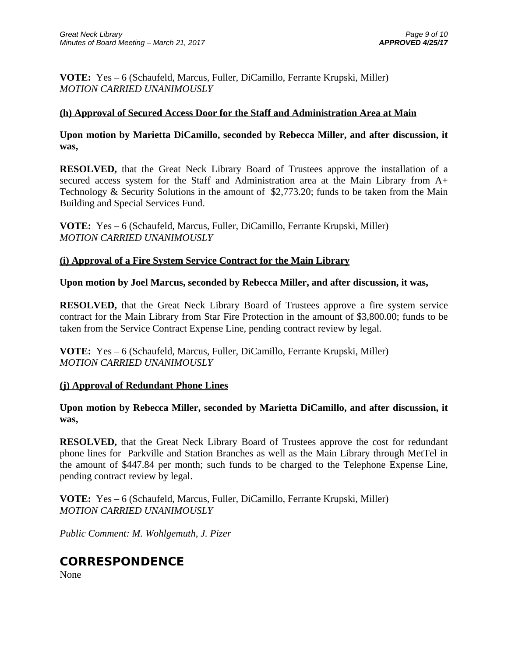**VOTE:** Yes – 6 (Schaufeld, Marcus, Fuller, DiCamillo, Ferrante Krupski, Miller) *MOTION CARRIED UNANIMOUSLY* 

## **(h) Approval of Secured Access Door for the Staff and Administration Area at Main**

**Upon motion by Marietta DiCamillo, seconded by Rebecca Miller, and after discussion, it was,** 

**RESOLVED,** that the Great Neck Library Board of Trustees approve the installation of a secured access system for the Staff and Administration area at the Main Library from A+ Technology & Security Solutions in the amount of \$2,773.20; funds to be taken from the Main Building and Special Services Fund.

**VOTE:** Yes – 6 (Schaufeld, Marcus, Fuller, DiCamillo, Ferrante Krupski, Miller) *MOTION CARRIED UNANIMOUSLY* 

## **(i) Approval of a Fire System Service Contract for the Main Library**

**Upon motion by Joel Marcus, seconded by Rebecca Miller, and after discussion, it was,** 

**RESOLVED,** that the Great Neck Library Board of Trustees approve a fire system service contract for the Main Library from Star Fire Protection in the amount of \$3,800.00; funds to be taken from the Service Contract Expense Line, pending contract review by legal.

**VOTE:** Yes – 6 (Schaufeld, Marcus, Fuller, DiCamillo, Ferrante Krupski, Miller) *MOTION CARRIED UNANIMOUSLY* 

## **(j) Approval of Redundant Phone Lines**

**Upon motion by Rebecca Miller, seconded by Marietta DiCamillo, and after discussion, it was,** 

**RESOLVED,** that the Great Neck Library Board of Trustees approve the cost for redundant phone lines for Parkville and Station Branches as well as the Main Library through MetTel in the amount of \$447.84 per month; such funds to be charged to the Telephone Expense Line, pending contract review by legal.

**VOTE:** Yes – 6 (Schaufeld, Marcus, Fuller, DiCamillo, Ferrante Krupski, Miller) *MOTION CARRIED UNANIMOUSLY* 

*Public Comment: M. Wohlgemuth, J. Pizer* 

## **CORRESPONDENCE**

None